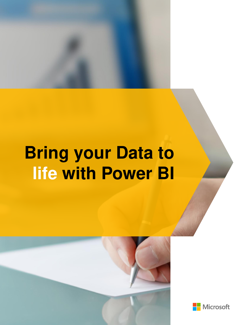

# **Bring your Data to life with Power BI**



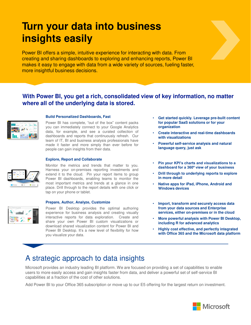# **Turn your data into business insights easily**

Power BI offers a simple, intuitive experience for interacting with data. From creating and sharing dashboards to exploring and enhancing reports, Power BI makes it easy to engage with data from a wide variety of sources, fueling faster, more insightful business decisions.

### **With Power BI, you get a rich, consolidated view of key information, no matter where all of the underlying data is stored.**



#### **Build Personalized Dashboards, Fast**

Power BI has complete, "out of the box" content packs you can immediately connect to your Google Analytics data, for example, and see a curated collection of dashboards and reports that continuously refresh. Our team of IT, BI and business analysis professionals have made it faster and more simply than ever before for people can gain insights from their data.

#### **Explore, Report and Collaborate**



*<u>Contilliant</u>* 

Monitor the metrics and trends that matter to you. Harness your on-premises reporting investments and extend it to the cloud. Pin your report items to group Power BI dashboards, enabling teams to monitor the most important metrics and trends at a glance in one place. Drill through to the report details with one click or tap on your phone or tablet.

#### **Prepare, Author, Analyze, Customize**

Power BI Desktop provides the optimal authoring experience for business analysis and creating visually interactive reports for data exploration. Create and share your own Power BI custom visualizations or download shared visualization content for Power BI and Power BI Desktop. It's a new level of flexibility for how you visualize your data.

- **Get started quickly. Leverage pre-built content for popular SaaS solutions or for your organization**
- **Create interactive and real-time dashboards with visualizations**
- **Powerful self-service analysis and natural language query, just ask**
- **Pin your KPI's charts and visualizations to a dashboard for a 360º view of your business**
- **Drill through to underlying reports to explore in more detail**
- **Native apps for iPad, iPhone, Android and Windows devices**
- **Import, transform and securely access data from your data sources and Enterprise services, either on-premises or in the cloud**
- **More powerful analysis with Power BI Desktop, including R for advanced analytics**
- **Highly cost effective, and perfectly integrated with Office 365 and the Microsoft data platform**

## A strategic approach to data insights

Microsoft provides an industry leading BI platform. We are focused on providing a set of capabilities to enable users to more easily access and gain insights faster from data, and deliver a powerful set of self-service BI capabilities at a fraction of the cost of other solutions.

Add Power BI to your Office 365 subscription or move up to our E5 offering for the largest return on investment.